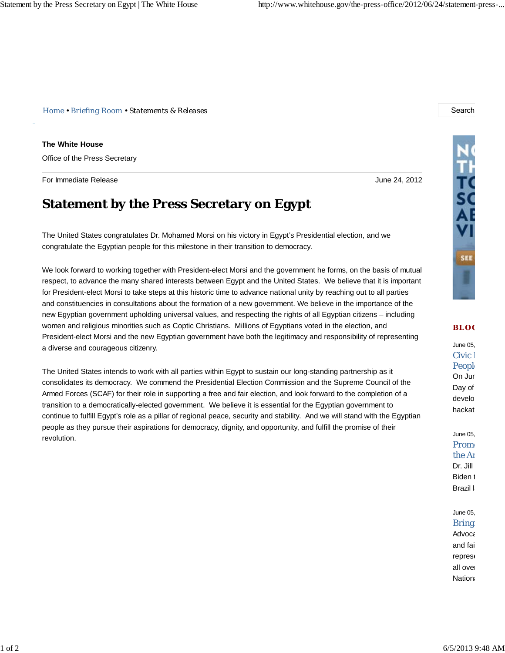*Home • Briefing Room • Statements & Releases* Search

**The White House** Office of the Press Secretary

For Immediate Release June 24, 2012

## **Statement by the Press Secretary on Egypt**

The United States congratulates Dr. Mohamed Morsi on his victory in Egypt's Presidential election, and we congratulate the Egyptian people for this milestone in their transition to democracy.

We look forward to working together with President-elect Morsi and the government he forms, on the basis of mutual respect, to advance the many shared interests between Egypt and the United States. We believe that it is important for President-elect Morsi to take steps at this historic time to advance national unity by reaching out to all parties and constituencies in consultations about the formation of a new government. We believe in the importance of the new Egyptian government upholding universal values, and respecting the rights of all Egyptian citizens – including women and religious minorities such as Coptic Christians. Millions of Egyptians voted in the election, and President-elect Morsi and the new Egyptian government have both the legitimacy and responsibility of representing a diverse and courageous citizenry.

The United States intends to work with all parties within Egypt to sustain our long-standing partnership as it consolidates its democracy. We commend the Presidential Election Commission and the Supreme Council of the Armed Forces (SCAF) for their role in supporting a free and fair election, and look forward to the completion of a transition to a democratically-elected government. We believe it is essential for the Egyptian government to continue to fulfill Egypt's role as a pillar of regional peace, security and stability. And we will stand with the Egyptian people as they pursue their aspirations for democracy, dignity, and opportunity, and fulfill the promise of their revolution.



## **BLO G**

June 05, Civic 1 **People** On Jun Day of develo hackat

June 05, Promo the Ar Dr. Jill Biden t Brazil I

June 05, Bringi

**Advoca** and fai represe all over **Nation**